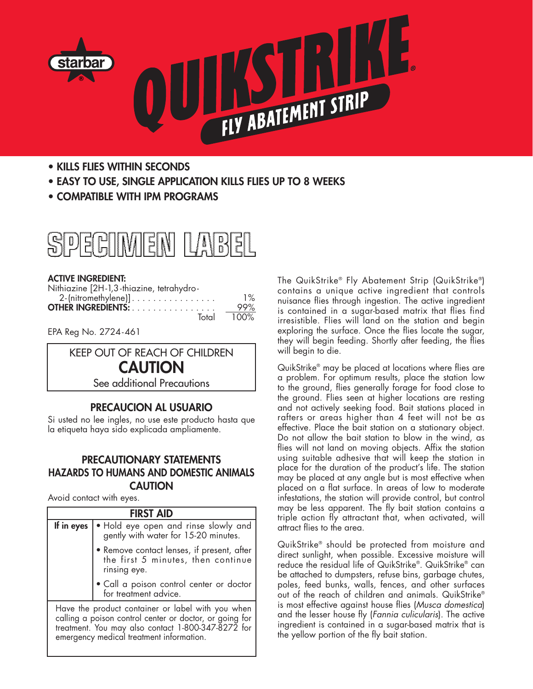

- **• KILLS FLIES WITHIN SECONDS**
- **• EASY TO USE, SINGLE APPLICATION KILLS FLIES UP TO 8 WEEKS**
- **• COMPATIBLE WITH IPM PROGRAMS**



#### **ACTIVE INGREDIENT:**

| Nithiazine [2H-1,3-thiazine, tetrahydro- |         |
|------------------------------------------|---------|
| $2$ -(nitromethylene)]                   | $1\%$   |
| <b>OTHER INGREDIENTS:</b>                | 99%     |
| Total                                    | $100\%$ |

EPA Reg No. 2724-461



# **PRECAUCION AL USUARIO**

Si usted no lee ingles, no use este producto hasta que la etiqueta haya sido explicada ampliamente.

### **PRECAUTIONARY STATEMENTS HAZARDS TO HUMANS AND DOMESTIC ANIMALS CAUTION**

Avoid contact with eyes.

| <b>FIRST AID</b> |                                                                                                                                                                                                                  |
|------------------|------------------------------------------------------------------------------------------------------------------------------------------------------------------------------------------------------------------|
| If in eyes       | • Hold eye open and rinse slowly and<br>gently with water for 15-20 minutes.                                                                                                                                     |
|                  | • Remove contact lenses, if present, after<br>the first 5 minutes, then continue<br>rinsing eye.                                                                                                                 |
|                  | • Call a poison control center or doctor<br>for treatment advice.                                                                                                                                                |
|                  | Have the product container or label with you when  <br>calling a poison control center or doctor, or going for<br>treatment. You may also contact 1-800-347-8272 for<br>emergency medical treatment information. |

The QuikStrike® Fly Abatement Strip (QuikStrike®) contains a unique active ingredient that controls nuisance flies through ingestion. The active ingredient is contained in a sugar-based matrix that flies find irresistible. Flies will land on the station and begin exploring the surface. Once the flies locate the sugar, they will begin feeding. Shortly after feeding, the flies will begin to die.

QuikStrike® may be placed at locations where flies are a problem. For optimum results, place the station low to the ground, flies generally forage for food close to the ground. Flies seen at higher locations are resting and not actively seeking food. Bait stations placed in rafters or areas higher than 4 feet will not be as effective. Place the bait station on a stationary object. Do not allow the bait station to blow in the wind, as flies will not land on moving objects. Affix the station using suitable adhesive that will keep the station in place for the duration of the product's life. The station may be placed at any angle but is most effective when placed on a flat surface. In areas of low to moderate infestations, the station will provide control, but control may be less apparent. The fly bait station contains a triple action fly attractant that, when activated, will attract flies to the area.

QuikStrike® should be protected from moisture and direct sunlight, when possible. Excessive moisture will reduce the residual life of QuikStrike®. QuikStrike® can be attached to dumpsters, refuse bins, garbage chutes, poles, feed bunks, walls, fences, and other surfaces out of the reach of children and animals. QuikStrike® is most effective against house flies (*Musca domestica*) and the lesser house fly (*Fannia culicularis*). The active ingredient is contained in a sugar-based matrix that is the yellow portion of the fly bait station.